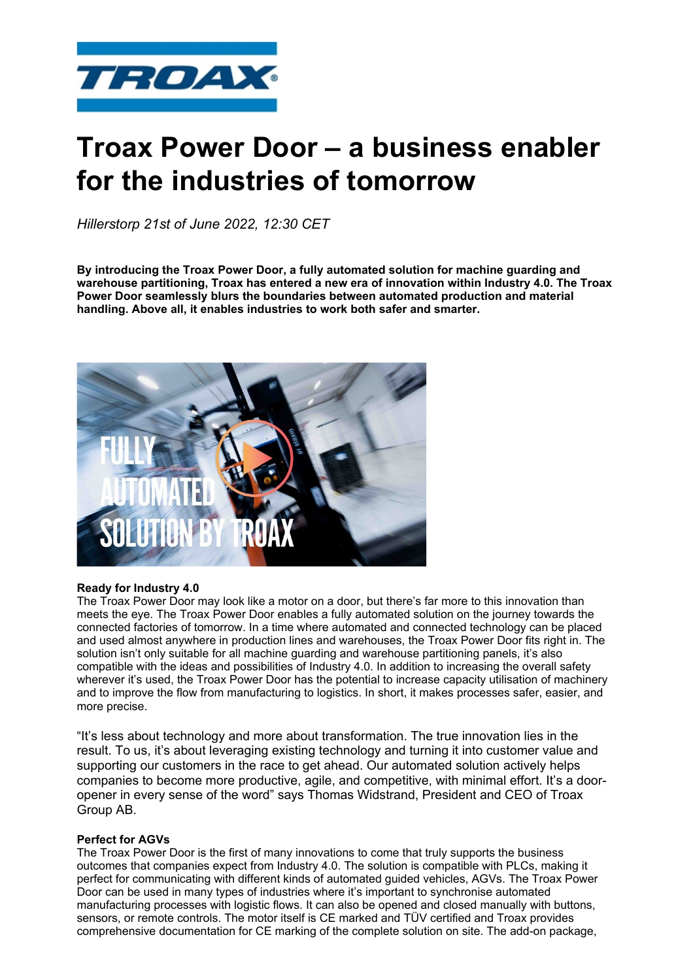

# **Troax Power Door – a business enabler for the industries of tomorrow**

*Hillerstorp 21st of June 2022, 12:30 CET*

**By introducing the Troax Power Door, a fully automated solution for machine guarding and warehouse partitioning, Troax has entered a new era of innovation within Industry 4.0. The Troax Power Door seamlessly blurs the boundaries between automated production and material handling. Above all, it enables industries to work both safer and smarter.** 



## **Ready for Industry 4.0**

The Troax Power Door may look like a motor on a door, but there's far more to this innovation than meets the eye. The Troax Power Door enables a fully automated solution on the journey towards the connected factories of tomorrow. In a time where automated and connected technology can be placed and used almost anywhere in production lines and warehouses, the Troax Power Door fits right in. The solution isn't only suitable for all machine guarding and warehouse partitioning panels, it's also compatible with the ideas and possibilities of Industry 4.0. In addition to increasing the overall safety wherever it's used, the Troax Power Door has the potential to increase capacity utilisation of machinery and to improve the flow from manufacturing to logistics. In short, it makes processes safer, easier, and more precise.

"It's less about technology and more about transformation. The true innovation lies in the result. To us, it's about leveraging existing technology and turning it into customer value and supporting our customers in the race to get ahead. Our automated solution actively helps companies to become more productive, agile, and competitive, with minimal effort. It's a dooropener in every sense of the word" says Thomas Widstrand, President and CEO of Troax Group AB.

## **Perfect for AGVs**

The Troax Power Door is the first of many innovations to come that truly supports the business outcomes that companies expect from Industry 4.0. The solution is compatible with PLCs, making it perfect for communicating with different kinds of automated guided vehicles, AGVs. The Troax Power Door can be used in many types of industries where it's important to synchronise automated manufacturing processes with logistic flows. It can also be opened and closed manually with buttons, sensors, or remote controls. The motor itself is CE marked and TÜV certified and Troax provides comprehensive documentation for CE marking of the complete solution on site. The add-on package,